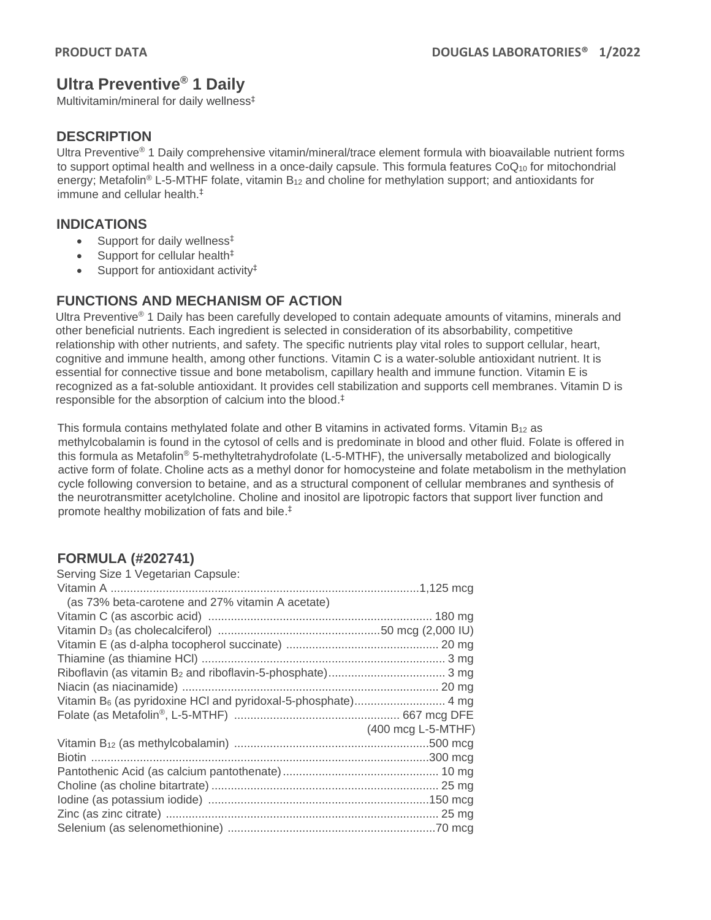# **Ultra Preventive® 1 Daily**

Multivitamin/mineral for daily wellness‡

## **DESCRIPTION**

Ultra Preventive<sup>®</sup> 1 Daily comprehensive vitamin/mineral/trace element formula with bioavailable nutrient forms to support optimal health and wellness in a once-daily capsule. This formula features CoQ<sub>10</sub> for mitochondrial energy; Metafolin<sup>®</sup> L-5-MTHF folate, vitamin  $B_{12}$  and choline for methylation support; and antioxidants for immune and cellular health.‡

#### **INDICATIONS**

- Support for daily wellness<sup>‡</sup>
- Support for cellular health $<sup>‡</sup>$ </sup>
- Support for antioxidant activity<sup>‡</sup>

## **FUNCTIONS AND MECHANISM OF ACTION**

Ultra Preventive® 1 Daily has been carefully developed to contain adequate amounts of vitamins, minerals and other beneficial nutrients. Each ingredient is selected in consideration of its absorbability, competitive relationship with other nutrients, and safety. The specific nutrients play vital roles to support cellular, heart, cognitive and immune health, among other functions. Vitamin C is a water-soluble antioxidant nutrient. It is essential for connective tissue and bone metabolism, capillary health and immune function. Vitamin E is recognized as a fat-soluble antioxidant. It provides cell stabilization and supports cell membranes. Vitamin D is responsible for the absorption of calcium into the blood. ‡

This formula contains methylated folate and other B vitamins in activated forms. Vitamin B<sub>12</sub> as methylcobalamin is found in the cytosol of cells and is predominate in blood and other fluid. Folate is offered in this formula as Metafolin® 5-methyltetrahydrofolate (L-5-MTHF), the universally metabolized and biologically active form of folate. Choline acts as a methyl donor for homocysteine and folate metabolism in the methylation cycle following conversion to betaine, and as a structural component of cellular membranes and synthesis of the neurotransmitter acetylcholine. Choline and inositol are lipotropic factors that support liver function and promote healthy mobilization of fats and bile. ‡

## **FORMULA (#202741)**

| Serving Size 1 Vegetarian Capsule:               |                    |
|--------------------------------------------------|--------------------|
|                                                  |                    |
| (as 73% beta-carotene and 27% vitamin A acetate) |                    |
|                                                  |                    |
|                                                  |                    |
|                                                  |                    |
|                                                  |                    |
|                                                  |                    |
|                                                  |                    |
|                                                  |                    |
|                                                  |                    |
|                                                  | (400 mcg L-5-MTHF) |
|                                                  |                    |
|                                                  |                    |
|                                                  |                    |
|                                                  |                    |
|                                                  |                    |
|                                                  |                    |
|                                                  |                    |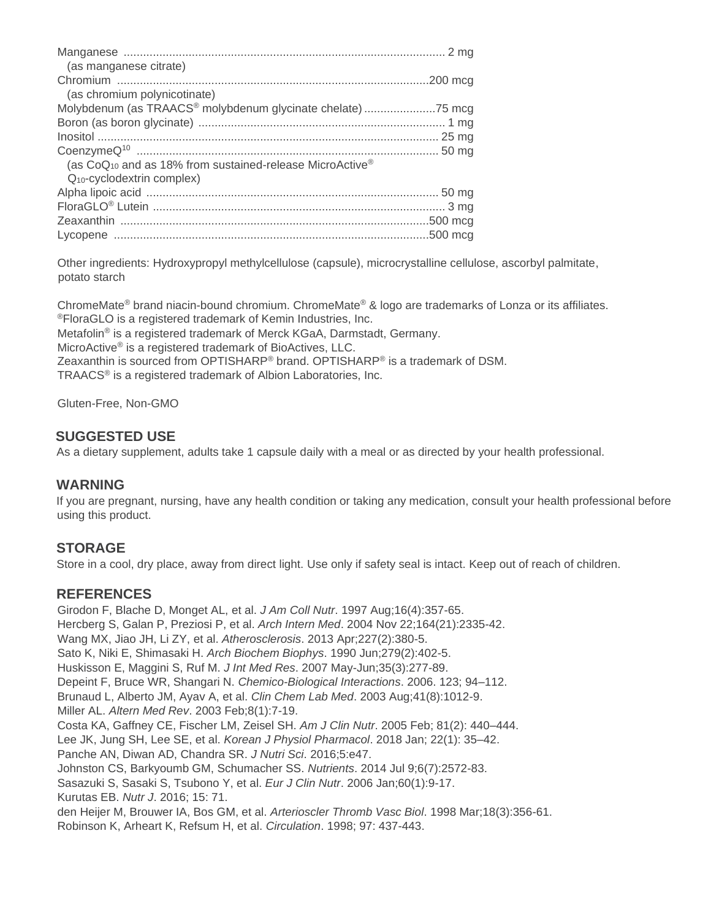| (as manganese citrate)                                               |  |
|----------------------------------------------------------------------|--|
|                                                                      |  |
| (as chromium polynicotinate)                                         |  |
| Molybdenum (as TRAACS® molybdenum glycinate chelate) 75 mcg          |  |
|                                                                      |  |
|                                                                      |  |
|                                                                      |  |
| (as CoQ <sub>10</sub> and as 18% from sustained-release MicroActive® |  |
| $Q_{10}$ -cyclodextrin complex)                                      |  |
|                                                                      |  |
|                                                                      |  |
|                                                                      |  |
|                                                                      |  |
|                                                                      |  |

Other ingredients: Hydroxypropyl methylcellulose (capsule), microcrystalline cellulose, ascorbyl palmitate, potato starch

ChromeMate® brand niacin-bound chromium. ChromeMate® & logo are trademarks of Lonza or its affiliates. ®FloraGLO is a registered trademark of Kemin Industries, Inc.

Metafolin® is a registered trademark of Merck KGaA, Darmstadt, Germany.

MicroActive® is a registered trademark of BioActives, LLC.

Zeaxanthin is sourced from OPTISHARP® brand. OPTISHARP® is a trademark of DSM.

TRAACS® is a registered trademark of Albion Laboratories, Inc.

Gluten-Free, Non-GMO

## **SUGGESTED USE**

As a dietary supplement, adults take 1 capsule daily with a meal or as directed by your health professional.

#### **WARNING**

If you are pregnant, nursing, have any health condition or taking any medication, consult your health professional before using this product.

## **STORAGE**

Store in a cool, dry place, away from direct light. Use only if safety seal is intact. Keep out of reach of children.

#### **REFERENCES**

Girodon F, Blache D, Monget AL, et al. *J Am Coll Nutr*. 1997 Aug;16(4):357-65. Hercberg S, Galan P, Preziosi P, et al. *Arch Intern Med*. 2004 Nov 22;164(21):2335-42. Wang MX, Jiao JH, Li ZY, et al. *Atherosclerosis*. 2013 Apr;227(2):380-5. Sato K, Niki E, Shimasaki H. *Arch Biochem Biophys*. 1990 Jun;279(2):402-5. Huskisson E, Maggini S, Ruf M. *J Int Med Res*. 2007 May-Jun;35(3):277-89. Depeint F, Bruce WR, Shangari N. *Chemico-Biological Interactions*. 2006. 123; 94–112. Brunaud L, Alberto JM, Ayav A, et al. *Clin Chem Lab Med*. 2003 Aug;41(8):1012-9. Miller AL. *Altern Med Rev*. 2003 Feb;8(1):7-19. Costa KA, Gaffney CE, Fischer LM, Zeisel SH. *Am J Clin Nutr*. 2005 Feb; 81(2): 440–444. Lee JK, Jung SH, Lee SE, et al. *Korean J Physiol Pharmacol*. 2018 Jan; 22(1): 35–42. Panche AN, Diwan AD, Chandra SR. *J Nutri Sci*. 2016;5:e47. Johnston CS, Barkyoumb GM, Schumacher SS. *Nutrients*. 2014 Jul 9;6(7):2572-83. Sasazuki S, Sasaki S, Tsubono Y, et al. *Eur J Clin Nutr*. 2006 Jan;60(1):9-17. Kurutas EB. *Nutr J*. 2016; 15: 71. den Heijer M, Brouwer IA, Bos GM, et al. *Arterioscler Thromb Vasc Biol*. 1998 Mar;18(3):356-61. Robinson K, Arheart K, Refsum H, et al. *Circulation*. 1998; 97: 437-443.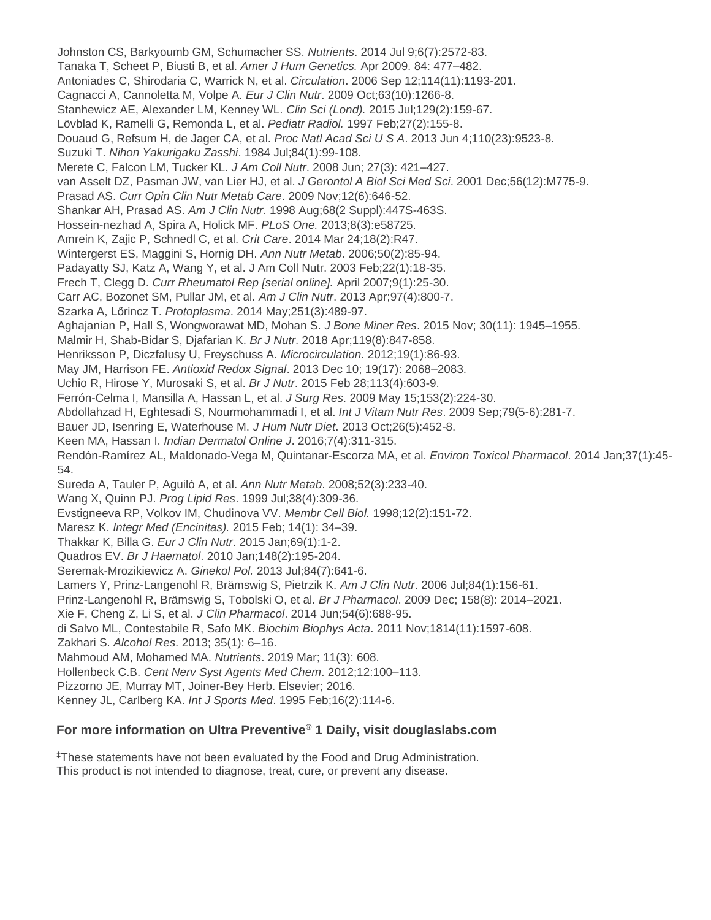Johnston CS, Barkyoumb GM, Schumacher SS. *Nutrients*. 2014 Jul 9;6(7):2572-83. Tanaka T, Scheet P, Biusti B, et al. *Amer J Hum Genetics.* Apr 2009. 84: 477–482. Antoniades C, Shirodaria C, Warrick N, et al. *Circulation*. 2006 Sep 12;114(11):1193-201. Cagnacci A, Cannoletta M, Volpe A. *Eur J Clin Nutr*. 2009 Oct;63(10):1266-8. Stanhewicz AE, Alexander LM, Kenney WL. *Clin Sci (Lond).* 2015 Jul;129(2):159-67. Lövblad K, Ramelli G, Remonda L, et al. *Pediatr Radiol.* 1997 Feb;27(2):155-8. Douaud G, Refsum H, de Jager CA, et al. *Proc Natl Acad Sci U S A*. 2013 Jun 4;110(23):9523-8. Suzuki T. *Nihon Yakurigaku Zasshi*. 1984 Jul;84(1):99-108. Merete C, Falcon LM, Tucker KL. *J Am Coll Nutr*. 2008 Jun; 27(3): 421–427. van Asselt DZ, Pasman JW, van Lier HJ, et al. *J Gerontol A Biol Sci Med Sci*. 2001 Dec;56(12):M775-9. Prasad AS. *Curr Opin Clin Nutr Metab Care*. 2009 Nov;12(6):646-52. Shankar AH, Prasad AS. *Am J Clin Nutr.* 1998 Aug;68(2 Suppl):447S-463S. Hossein-nezhad A, Spira A, Holick MF. *PLoS One.* 2013;8(3):e58725. Amrein K, Zajic P, Schnedl C, et al. *Crit Care*. 2014 Mar 24;18(2):R47. Wintergerst ES, Maggini S, Hornig DH. *Ann Nutr Metab*. 2006;50(2):85-94. Padayatty SJ, Katz A, Wang Y, et al. J Am Coll Nutr. 2003 Feb;22(1):18-35. Frech T, Clegg D. *Curr Rheumatol Rep [serial online].* April 2007;9(1):25-30. Carr AC, Bozonet SM, Pullar JM, et al. *Am J Clin Nutr*. 2013 Apr;97(4):800-7. Szarka A, Lőrincz T. *Protoplasma*. 2014 May;251(3):489-97. Aghajanian P, Hall S, Wongworawat MD, Mohan S. *J Bone Miner Res*. 2015 Nov; 30(11): 1945–1955. Malmir H, Shab-Bidar S, Djafarian K. *Br J Nutr*. 2018 Apr;119(8):847-858. Henriksson P, Diczfalusy U, Freyschuss A. *Microcirculation.* 2012;19(1):86-93. May JM, Harrison FE. *Antioxid Redox Signal*. 2013 Dec 10; 19(17): 2068–2083. Uchio R, Hirose Y, Murosaki S, et al. *Br J Nutr*. 2015 Feb 28;113(4):603-9. Ferrón-Celma I, Mansilla A, Hassan L, et al. *J Surg Res*. 2009 May 15;153(2):224-30. Abdollahzad H, Eghtesadi S, Nourmohammadi I, et al. *Int J Vitam Nutr Res*. 2009 Sep;79(5-6):281-7. Bauer JD, Isenring E, Waterhouse M. *J Hum Nutr Diet*. 2013 Oct;26(5):452-8. Keen MA, Hassan I. *Indian Dermatol Online J*. 2016;7(4):311-315. Rendón-Ramírez AL, Maldonado-Vega M, Quintanar-Escorza MA, et al. *Environ Toxicol Pharmacol*. 2014 Jan;37(1):45- 54. Sureda A, Tauler P, Aguiló A, et al. *Ann Nutr Metab*. 2008;52(3):233-40. Wang X, Quinn PJ. *Prog Lipid Res*. 1999 Jul;38(4):309-36. Evstigneeva RP, Volkov IM, Chudinova VV. *Membr Cell Biol.* 1998;12(2):151-72. Maresz K. *Integr Med (Encinitas).* 2015 Feb; 14(1): 34–39. Thakkar K, Billa G. *Eur J Clin Nutr*. 2015 Jan;69(1):1-2. Quadros EV. *Br J Haematol*. 2010 Jan;148(2):195-204. Seremak-Mrozikiewicz A. *Ginekol Pol.* 2013 Jul;84(7):641-6. Lamers Y, Prinz-Langenohl R, Brämswig S, Pietrzik K. *Am J Clin Nutr*. 2006 Jul;84(1):156-61. Prinz-Langenohl R, Brämswig S, Tobolski O, et al. *Br J Pharmacol*. 2009 Dec; 158(8): 2014–2021. Xie F, Cheng Z, Li S, et al. *J Clin Pharmacol*. 2014 Jun;54(6):688-95. di Salvo ML, Contestabile R, Safo MK. *Biochim Biophys Acta*. 2011 Nov;1814(11):1597-608. Zakhari S. *Alcohol Res*. 2013; 35(1): 6–16. Mahmoud AM, Mohamed MA. *Nutrients*. 2019 Mar; 11(3): 608. Hollenbeck C.B. *Cent Nerv Syst Agents Med Chem*. 2012;12:100–113. Pizzorno JE, Murray MT, Joiner-Bey Herb. Elsevier; 2016. Kenney JL, Carlberg KA. *Int J Sports Med*. 1995 Feb;16(2):114-6.

#### **For more information on Ultra Preventive® 1 Daily, visit douglaslabs.com**

‡These statements have not been evaluated by the Food and Drug Administration. This product is not intended to diagnose, treat, cure, or prevent any disease.